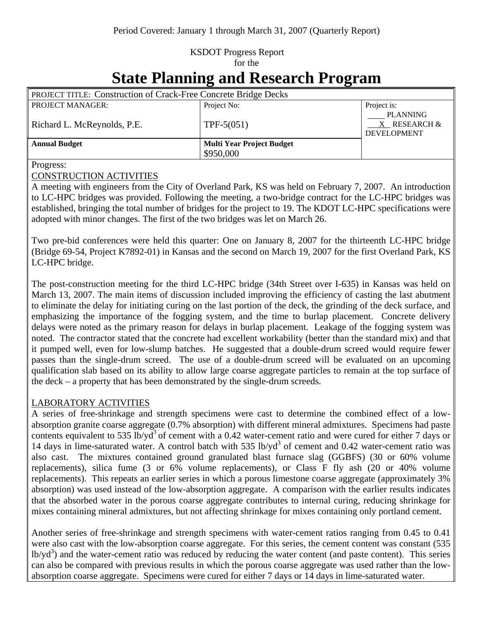## KSDOT Progress Report for the

# **State Planning and Research Program**

| PROJECT TITLE: Construction of Crack-Free Concrete Bridge Decks |                                  |                                                       |
|-----------------------------------------------------------------|----------------------------------|-------------------------------------------------------|
| <b>PROJECT MANAGER:</b>                                         | Project No:                      | Project is:                                           |
| Richard L. McReynolds, P.E.                                     | $TPF-5(051)$                     | <b>PLANNING</b><br>X RESEARCH &<br><b>DEVELOPMENT</b> |
| <b>Annual Budget</b>                                            | <b>Multi Year Project Budget</b> |                                                       |
|                                                                 | \$950,000                        |                                                       |

Progress:

#### CONSTRUCTION ACTIVITIES

A meeting with engineers from the City of Overland Park, KS was held on February 7, 2007. An introduction to LC-HPC bridges was provided. Following the meeting, a two-bridge contract for the LC-HPC bridges was established, bringing the total number of bridges for the project to 19. The KDOT LC-HPC specifications were adopted with minor changes. The first of the two bridges was let on March 26.

Two pre-bid conferences were held this quarter: One on January 8, 2007 for the thirteenth LC-HPC bridge (Bridge 69-54, Project K7892-01) in Kansas and the second on March 19, 2007 for the first Overland Park, KS LC-HPC bridge.

The post-construction meeting for the third LC-HPC bridge (34th Street over I-635) in Kansas was held on March 13, 2007. The main items of discussion included improving the efficiency of casting the last abutment to eliminate the delay for initiating curing on the last portion of the deck, the grinding of the deck surface, and emphasizing the importance of the fogging system, and the time to burlap placement. Concrete delivery delays were noted as the primary reason for delays in burlap placement. Leakage of the fogging system was noted. The contractor stated that the concrete had excellent workability (better than the standard mix) and that it pumped well, even for low-slump batches. He suggested that a double-drum screed would require fewer passes than the single-drum screed. The use of a double-drum screed will be evaluated on an upcoming qualification slab based on its ability to allow large coarse aggregate particles to remain at the top surface of the deck – a property that has been demonstrated by the single-drum screeds.

#### LABORATORY ACTIVITIES

A series of free-shrinkage and strength specimens were cast to determine the combined effect of a lowabsorption granite coarse aggregate (0.7% absorption) with different mineral admixtures. Specimens had paste contents equivalent to 535 lb/yd<sup>3</sup> of cement with a 0.42 water-cement ratio and were cured for either 7 days or 14 days in lime-saturated water. A control batch with 535 lb/yd<sup>3</sup> of cement and 0.42 water-cement ratio was also cast. The mixtures contained ground granulated blast furnace slag (GGBFS) (30 or 60% volume replacements), silica fume (3 or 6% volume replacements), or Class F fly ash (20 or 40% volume replacements). This repeats an earlier series in which a porous limestone coarse aggregate (approximately 3% absorption) was used instead of the low-absorption aggregate. A comparison with the earlier results indicates that the absorbed water in the porous coarse aggregate contributes to internal curing, reducing shrinkage for mixes containing mineral admixtures, but not affecting shrinkage for mixes containing only portland cement.

Another series of free-shrinkage and strength specimens with water-cement ratios ranging from 0.45 to 0.41 were also cast with the low-absorption coarse aggregate. For this series, the cement content was constant (535 lb/yd<sup>3</sup>) and the water-cement ratio was reduced by reducing the water content (and paste content). This series can also be compared with previous results in which the porous coarse aggregate was used rather than the lowabsorption coarse aggregate. Specimens were cured for either 7 days or 14 days in lime-saturated water.